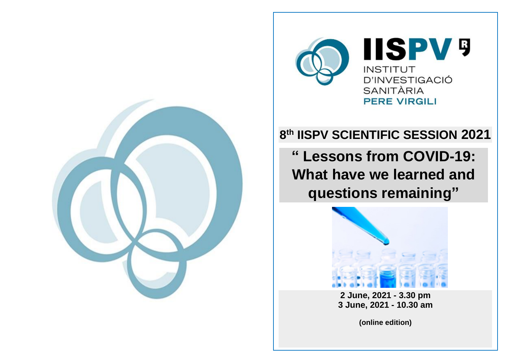



# **8 th IISPV SCIENTIFIC SESSION 2021**

**" Lessons from COVID-19: What have we learned and questions remaining"**



**2 June, 2021 - 3.30 pm 3 June, 2021 - 10.30 am**

**(online edition)**